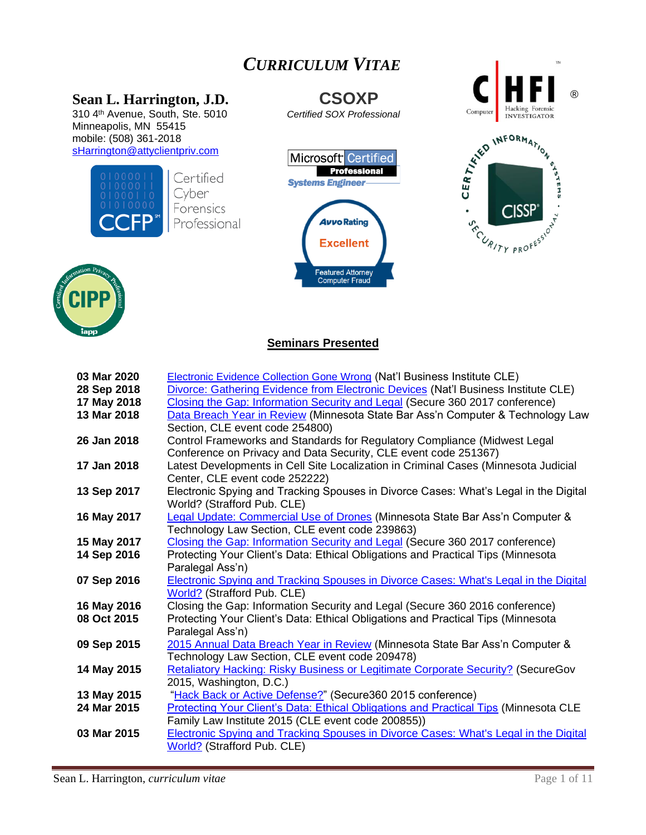# *CURRICULUM VITAE*

310 4th Avenue, South, Ste. 5010 *Certified SOX Professional* Minneapolis, MN 55415 mobile: (508) 361-2018









# **Seminars Presented**

| 03 Mar 2020 | <b>Electronic Evidence Collection Gone Wrong (Nat'l Business Institute CLE)</b>             |
|-------------|---------------------------------------------------------------------------------------------|
| 28 Sep 2018 | Divorce: Gathering Evidence from Electronic Devices (Nat'l Business Institute CLE)          |
| 17 May 2018 | Closing the Gap: Information Security and Legal (Secure 360 2017 conference)                |
| 13 Mar 2018 | Data Breach Year in Review (Minnesota State Bar Ass'n Computer & Technology Law             |
|             | Section, CLE event code 254800)                                                             |
| 26 Jan 2018 | Control Frameworks and Standards for Regulatory Compliance (Midwest Legal                   |
|             | Conference on Privacy and Data Security, CLE event code 251367)                             |
| 17 Jan 2018 | Latest Developments in Cell Site Localization in Criminal Cases (Minnesota Judicial         |
|             | Center, CLE event code 252222)                                                              |
| 13 Sep 2017 | Electronic Spying and Tracking Spouses in Divorce Cases: What's Legal in the Digital        |
|             | World? (Strafford Pub. CLE)                                                                 |
| 16 May 2017 | Legal Update: Commercial Use of Drones (Minnesota State Bar Ass'n Computer &                |
|             | Technology Law Section, CLE event code 239863)                                              |
| 15 May 2017 | Closing the Gap: Information Security and Legal (Secure 360 2017 conference)                |
| 14 Sep 2016 | Protecting Your Client's Data: Ethical Obligations and Practical Tips (Minnesota            |
|             | Paralegal Ass'n)                                                                            |
| 07 Sep 2016 | <b>Electronic Spying and Tracking Spouses in Divorce Cases: What's Legal in the Digital</b> |
|             | <b>World?</b> (Strafford Pub. CLE)                                                          |
| 16 May 2016 | Closing the Gap: Information Security and Legal (Secure 360 2016 conference)                |
| 08 Oct 2015 | Protecting Your Client's Data: Ethical Obligations and Practical Tips (Minnesota            |
|             | Paralegal Ass'n)                                                                            |
| 09 Sep 2015 | 2015 Annual Data Breach Year in Review (Minnesota State Bar Ass'n Computer &                |
|             | Technology Law Section, CLE event code 209478)                                              |
| 14 May 2015 | Retaliatory Hacking: Risky Business or Legitimate Corporate Security? (SecureGov            |
|             | 2015, Washington, D.C.)                                                                     |
| 13 May 2015 | "Hack Back or Active Defense?" (Secure360 2015 conference)                                  |
| 24 Mar 2015 | Protecting Your Client's Data: Ethical Obligations and Practical Tips (Minnesota CLE        |
|             | Family Law Institute 2015 (CLE event code 200855))                                          |
| 03 Mar 2015 | <b>Electronic Spying and Tracking Spouses in Divorce Cases: What's Legal in the Digital</b> |
|             | World? (Strafford Pub. CLE)                                                                 |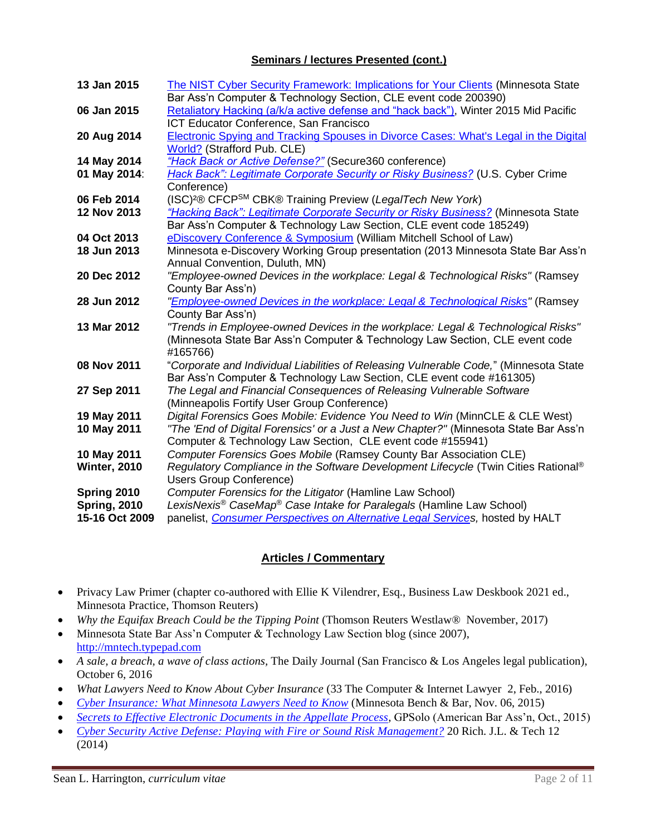#### **Seminars / lectures Presented (cont.)**

| 13 Jan 2015         | The NIST Cyber Security Framework: Implications for Your Clients (Minnesota State            |
|---------------------|----------------------------------------------------------------------------------------------|
|                     | Bar Ass'n Computer & Technology Section, CLE event code 200390)                              |
| 06 Jan 2015         | Retaliatory Hacking (a/k/a active defense and "hack back"), Winter 2015 Mid Pacific          |
|                     | ICT Educator Conference, San Francisco                                                       |
| 20 Aug 2014         | Electronic Spying and Tracking Spouses in Divorce Cases: What's Legal in the Digital         |
|                     | World? (Strafford Pub. CLE)                                                                  |
| 14 May 2014         | "Hack Back or Active Defense?" (Secure360 conference)                                        |
| 01 May 2014:        | Hack Back": Legitimate Corporate Security or Risky Business? (U.S. Cyber Crime               |
|                     | Conference)                                                                                  |
| 06 Feb 2014         | (ISC) <sup>2</sup> ® CFCP <sup>SM</sup> CBK® Training Preview (LegalTech New York)           |
| 12 Nov 2013         | "Hacking Back": Legitimate Corporate Security or Risky Business? (Minnesota State            |
|                     | Bar Ass'n Computer & Technology Law Section, CLE event code 185249)                          |
| 04 Oct 2013         | eDiscovery Conference & Symposium (William Mitchell School of Law)                           |
| 18 Jun 2013         | Minnesota e-Discovery Working Group presentation (2013 Minnesota State Bar Ass'n             |
|                     | Annual Convention, Duluth, MN)                                                               |
| 20 Dec 2012         | "Employee-owned Devices in the workplace: Legal & Technological Risks" (Ramsey               |
|                     | County Bar Ass'n)                                                                            |
| 28 Jun 2012         | "Employee-owned Devices in the workplace: Legal & Technological Risks" (Ramsey               |
|                     | County Bar Ass'n)                                                                            |
| 13 Mar 2012         | "Trends in Employee-owned Devices in the workplace: Legal & Technological Risks"             |
|                     | (Minnesota State Bar Ass'n Computer & Technology Law Section, CLE event code                 |
|                     | #165766)                                                                                     |
| 08 Nov 2011         | "Corporate and Individual Liabilities of Releasing Vulnerable Code," (Minnesota State        |
|                     | Bar Ass'n Computer & Technology Law Section, CLE event code #161305)                         |
| 27 Sep 2011         | The Legal and Financial Consequences of Releasing Vulnerable Software                        |
|                     | (Minneapolis Fortify User Group Conference)                                                  |
| 19 May 2011         | Digital Forensics Goes Mobile: Evidence You Need to Win (MinnCLE & CLE West)                 |
| 10 May 2011         | "The 'End of Digital Forensics' or a Just a New Chapter?" (Minnesota State Bar Ass'n         |
|                     | Computer & Technology Law Section, CLE event code #155941)                                   |
| 10 May 2011         | Computer Forensics Goes Mobile (Ramsey County Bar Association CLE)                           |
| <b>Winter, 2010</b> | Regulatory Compliance in the Software Development Lifecycle (Twin Cities Rational®           |
|                     | <b>Users Group Conference)</b>                                                               |
| Spring 2010         | Computer Forensics for the Litigator (Hamline Law School)                                    |
| <b>Spring, 2010</b> | LexisNexis <sup>®</sup> CaseMap <sup>®</sup> Case Intake for Paralegals (Hamline Law School) |
| 15-16 Oct 2009      | panelist, Consumer Perspectives on Alternative Legal Services, hosted by HALT                |

# **Articles / Commentary**

- Privacy Law Primer (chapter co-authored with Ellie K Vilendrer, Esq., Business Law Deskbook 2021 ed., Minnesota Practice, Thomson Reuters)
- *Why the Equifax Breach Could be the Tipping Point* (Thomson Reuters Westlaw® November, 2017)
- Minnesota State Bar Ass'n Computer & Technology Law Section blog (since 2007), [http://mntech.typepad.com](http://mntech.typepad.com/)
- *A sale, a breach, a wave of class actions,* The Daily Journal (San Francisco & Los Angeles legal publication), October 6, 2016
- *What Lawyers Need to Know About Cyber Insurance* (33 The Computer & Internet Lawyer 2, Feb., 2016)
- *[Cyber Insurance: What Minnesota Lawyers Need to Know](http://mnbenchbar.com/2015/11/cyber-insurance/)* (Minnesota Bench & Bar, Nov. 06, 2015)
- *[Secrets to Effective Electronic Documents in the Appellate Process,](http://www.americanbar.org/publications/gp_solo/2015/september-october/secrets_effective_electronic_documents_the_appellate_process.html)* GPSolo (American Bar Ass'n, Oct., 2015)
- *[Cyber Security Active Defense: Playing with Fire or Sound Risk Management?](http://jolt.richmond.edu/index.php/cyber-security-active-defense-playing-with-fire-or-sound-risk-management/)* 20 Rich. J.L. & Tech 12 (2014)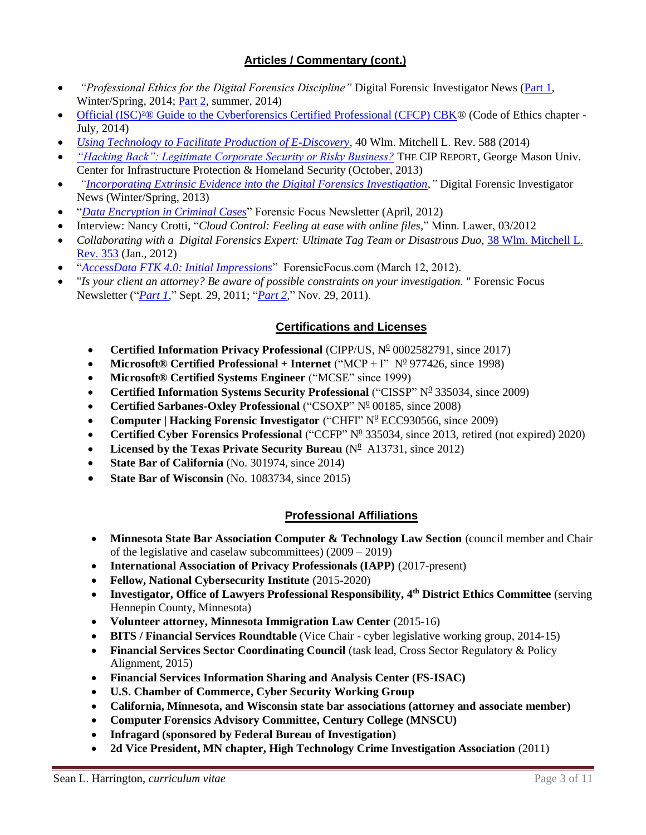# **Articles / Commentary (cont.)**

- *"Professional Ethics for the Digital Forensics Discipline"* Digital Forensic Investigator News [\(Part 1,](http://www.dfinews.com/articles/2014/03/professional-ethics-digital-forensics-discipline-part-1?et_cid=3805148&et_rid=454849735&type=headline) Winter/Spring, 2014; [Part 2,](http://www.dfinews.com/articles/2014/06/professional-ethics-digital-forensics-discipline-part-2) summer, 2014)
- Official (ISC)<sup>2</sup>® Guide to the Cyberforensics Certified Professional (CFCP) CBK® (Code of Ethics chapter -July, 2014)
- *[Using Technology to Facilitate Production of E-Discovery,](http://www.wmitchell.edu/lawreview/Volume40/documents/WG5.pdf)* 40 Wlm. Mitchell L. Rev. 588 (2014)
- *["Hacking Back": Legitimate Corporate Security or Risky Business?](http://cip.gmu.edu/wp-content/uploads/2013/06/October-2013_Financial-Services.pdf#page=11)* THE CIP REPORT, George Mason Univ. Center for Infrastructure Protection & Homeland Security (October, 2013)
- *["Incorporating Extrinsic Evidence into the Digital Forensics Investigation,](http://www.dfinews.com/articles/2013/02/incorporating-extrinsic-evidence-digital-forensics-investigation)"* Digital Forensic Investigator News (Winter/Spring, 2013)
- "*[Data Encryption in Criminal Cases](http://articles.forensicfocus.com/2012/03/23/dealing-with-data-encryption-in-criminal-cases/)*" Forensic Focus Newsletter (April, 2012)
- Interview: Nancy Crotti, "*Cloud Control: Feeling at ease with online files,*" Minn. Lawer, 03/2012
- *Collaborating with a Digital Forensics Expert: Ultimate Tag Team or Disastrous Duo,* 38 Wlm. [Mitchell L.](http://web.wmitchell.edu/law-review/wp-content/uploads/Volume38/documents/7.Harrington.pdf) [Rev.](http://web.wmitchell.edu/law-review/wp-content/uploads/Volume38/documents/7.Harrington.pdf) 353 (Jan., 2012)
- "*[AccessData FTK 4.0: Initial Impressions](http://articles.forensicfocus.com/2012/03/18/accessdata-ftk-4-0-initial-impressions/)*" ForensicFocus.com (March 12, 2012).
- "*Is your client an attorney? Be aware of possible constraints on your investigation.* " Forensic Focus Newsletter ("*[Part 1,](http://articles.forensicfocus.com/2011/09/24/is-your-client-an-attorney-be-aware-of-possible-constraints-on-your-investigation-part-1-of-a-multi-part-series/)*" Sept. 29, 2011; "*[Part 2,](http://articles.forensicfocus.com/2011/11/22/is-your-client-an-attorney-be-aware-of-possible-constraints-on-your-investigation-part-2-of-a-multi-part-series/)*" Nov. 29, 2011).

#### **Certifications and Licenses**

- **Certified Information Privacy Professional** (CIPP/US,  $N^0$  0002582791, since 2017)
- **Microsoft® Certified Professional + Internet** ("MCP + I" N<sup>0</sup> 977426, since 1998)
- **Microsoft® Certified Systems Engineer** ("MCSE" since 1999)
- **Certified Information Systems Security Professional** ("CISSP" N<sup>0</sup> 335034, since 2009)
- **Certified Sarbanes-Oxley Professional** ("CSOXP" Nº 00185, since 2008)
- **Computer | Hacking Forensic Investigator** ("CHFI" N<sup>0</sup> ECC930566, since 2009)
- **Certified Cyber Forensics Professional** ("CCFP" N<sup>0</sup> 335034, since 2013, retired (not expired) 2020)
- Licensed by the Texas Private Security Bureau  $(N^{\circ}$  A13731, since 2012)
- **State Bar of California** (No. 301974, since 2014)
- **State Bar of Wisconsin** (No. 1083734, since 2015)

# **Professional Affiliations**

- **Minnesota State Bar Association Computer & Technology Law Section** (council member and Chair of the legislative and caselaw subcommittees) (2009 – 2019)
- **International Association of Privacy Professionals (IAPP)** (2017-present)
- **Fellow, National Cybersecurity Institute** (2015-2020)
- **Investigator, Office of Lawyers Professional Responsibility, 4th District Ethics Committee** (serving Hennepin County, Minnesota)
- **Volunteer attorney, Minnesota Immigration Law Center** (2015-16)
- **BITS / Financial Services Roundtable** (Vice Chair cyber legislative working group, 2014-15)
- **Financial Services Sector Coordinating Council** (task lead, Cross Sector Regulatory & Policy Alignment, 2015)
- **Financial Services Information Sharing and Analysis Center (FS-ISAC)**
- **U.S. Chamber of Commerce, Cyber Security Working Group**
- **California, Minnesota, and Wisconsin state bar associations (attorney and associate member)**
- **Computer Forensics Advisory Committee, Century College (MNSCU)**
- **Infragard (sponsored by Federal Bureau of Investigation)**
- **2d Vice President, MN chapter, High Technology Crime Investigation Association** (2011)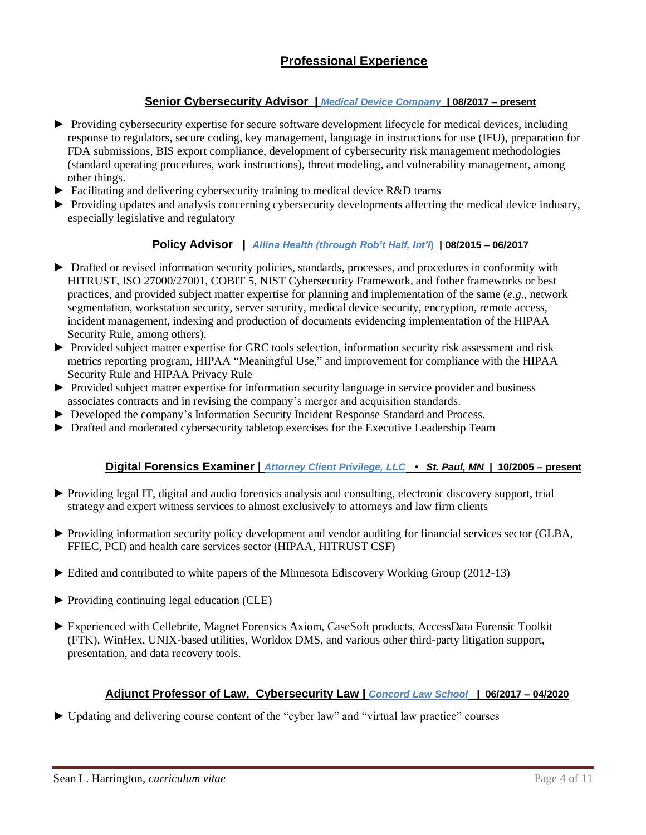# **Senior Cybersecurity Advisor |** *Medical Device Company* **| 08/2017 – present**

- ► Providing cybersecurity expertise for secure software development lifecycle for medical devices, including response to regulators, secure coding, key management, language in instructions for use (IFU), preparation for FDA submissions, BIS export compliance, development of cybersecurity risk management methodologies (standard operating procedures, work instructions), threat modeling, and vulnerability management, among other things.
- ► Facilitating and delivering cybersecurity training to medical device R&D teams
- ► Providing updates and analysis concerning cybersecurity developments affecting the medical device industry, especially legislative and regulatory

#### **Policy Advisor |** *Allina Health (through Rob't Half, Int'l***)****| 08/2015 – 06/2017**

- ► Drafted or revised information security policies, standards, processes, and procedures in conformity with HITRUST, ISO 27000/27001, COBIT 5, NIST Cybersecurity Framework, and fother frameworks or best practices, and provided subject matter expertise for planning and implementation of the same (*e.g.,* network segmentation, workstation security, server security, medical device security, encryption, remote access, incident management, indexing and production of documents evidencing implementation of the HIPAA Security Rule, among others).
- ► Provided subject matter expertise for GRC tools selection, information security risk assessment and risk metrics reporting program, HIPAA "Meaningful Use," and improvement for compliance with the HIPAA Security Rule and HIPAA Privacy Rule
- ► Provided subject matter expertise for information security language in service provider and business associates contracts and in revising the company's merger and acquisition standards.
- ► Developed the company's Information Security Incident Response Standard and Process.
- ► Drafted and moderated cybersecurity tabletop exercises for the Executive Leadership Team

### **Digital Forensics Examiner |** *Attorney Client Privilege, LLC • St. Paul, MN* **| 10/2005 – present**

- ► Providing legal IT, digital and audio forensics analysis and consulting, electronic discovery support, trial strategy and expert witness services to almost exclusively to attorneys and law firm clients
- ► Providing information security policy development and vendor auditing for financial services sector (GLBA, FFIEC, PCI) and health care services sector (HIPAA, HITRUST CSF)
- ► Edited and contributed to white papers of the Minnesota Ediscovery Working Group (2012-13)
- ► Providing continuing legal education (CLE)
- ► Experienced with Cellebrite, Magnet Forensics Axiom, CaseSoft products, AccessData Forensic Toolkit (FTK), WinHex, UNIX-based utilities, Worldox DMS, and various other third-party litigation support, presentation, and data recovery tools.

#### **Adjunct Professor of Law, Cybersecurity Law |** *Concord Law School* **| 06/2017 – 04/2020**

► Updating and delivering course content of the "cyber law" and "virtual law practice" courses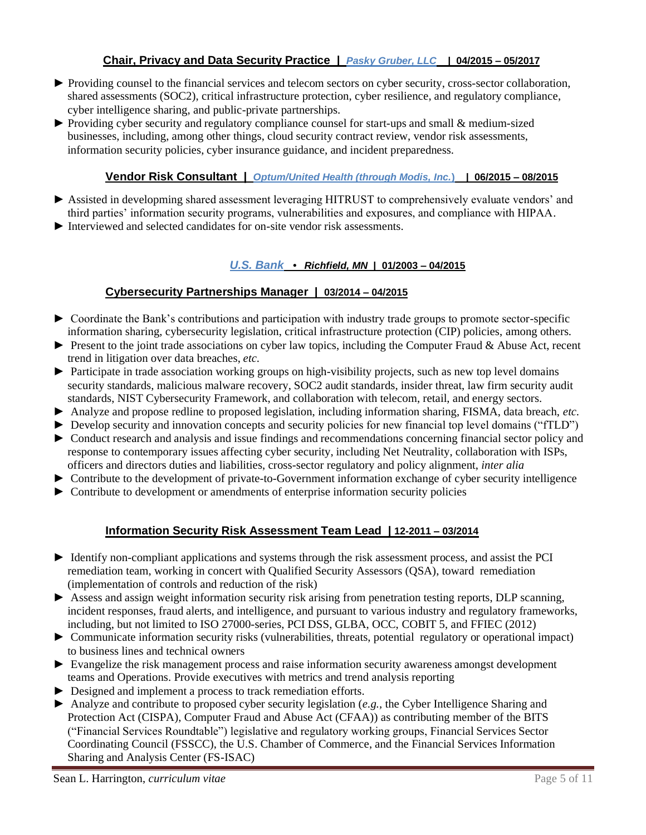### **Chair, Privacy and Data Security Practice |** *Pasky Gruber, LLC* **| 04/2015 – 05/2017**

- ► Providing counsel to the financial services and telecom sectors on cyber security, cross-sector collaboration, shared assessments (SOC2), critical infrastructure protection, cyber resilience, and regulatory compliance, cyber intelligence sharing, and public-private partnerships.
- ► Providing cyber security and regulatory compliance counsel for start-ups and small & medium-sized businesses, including, among other things, cloud security contract review, vendor risk assessments, information security policies, cyber insurance guidance, and incident preparedness.

### **Vendor Risk Consultant |** *Optum/United Health (through Modis, Inc.***)****| 06/2015 – 08/2015**

- ► Assisted in developming shared assessment leveraging HITRUST to comprehensively evaluate vendors' and third parties' information security programs, vulnerabilities and exposures, and compliance with HIPAA.
- ► Interviewed and selected candidates for on-site vendor risk assessments.

#### *U.S. Bank • Richfield, MN* **| 01/2003 – 04/2015**

#### **Cybersecurity Partnerships Manager | 03/2014 – 04/2015**

- ► Coordinate the Bank's contributions and participation with industry trade groups to promote sector-specific information sharing, cybersecurity legislation, critical infrastructure protection (CIP) policies, among others*.*
- ► Present to the joint trade associations on cyber law topics, including the Computer Fraud & Abuse Act, recent trend in litigation over data breaches, *etc.*
- ► Participate in trade association working groups on high-visibility projects, such as new top level domains security standards, malicious malware recovery, SOC2 audit standards, insider threat, law firm security audit standards, NIST Cybersecurity Framework, and collaboration with telecom, retail, and energy sectors.
- ► Analyze and propose redline to proposed legislation, including information sharing, FISMA, data breach, *etc.*
- ► Develop security and innovation concepts and security policies for new financial top level domains ("fTLD")
- ► Conduct research and analysis and issue findings and recommendations concerning financial sector policy and response to contemporary issues affecting cyber security, including Net Neutrality, collaboration with ISPs, officers and directors duties and liabilities, cross-sector regulatory and policy alignment, *inter alia*
- ► Contribute to the development of private-to-Government information exchange of cyber security intelligence
- ► Contribute to development or amendments of enterprise information security policies

#### **Information Security Risk Assessment Team Lead | 12-2011 – 03/2014**

- ► Identify non-compliant applications and systems through the risk assessment process, and assist the PCI remediation team, working in concert with Qualified Security Assessors (QSA), toward remediation (implementation of controls and reduction of the risk)
- ► Assess and assign weight information security risk arising from penetration testing reports, DLP scanning, incident responses, fraud alerts, and intelligence, and pursuant to various industry and regulatory frameworks, including, but not limited to ISO 27000-series, PCI DSS, GLBA, OCC, COBIT 5, and FFIEC (2012)
- ► Communicate information security risks (vulnerabilities, threats, potential regulatory or operational impact) to business lines and technical owners
- ► Evangelize the risk management process and raise information security awareness amongst development teams and Operations. Provide executives with metrics and trend analysis reporting
- ► Designed and implement a process to track remediation efforts.
- ► Analyze and contribute to proposed cyber security legislation (*e.g.,* the Cyber Intelligence Sharing and Protection Act (CISPA), Computer Fraud and Abuse Act (CFAA)) as contributing member of the BITS ("Financial Services Roundtable") legislative and regulatory working groups, Financial Services Sector Coordinating Council (FSSCC), the U.S. Chamber of Commerce, and the Financial Services Information Sharing and Analysis Center (FS-ISAC)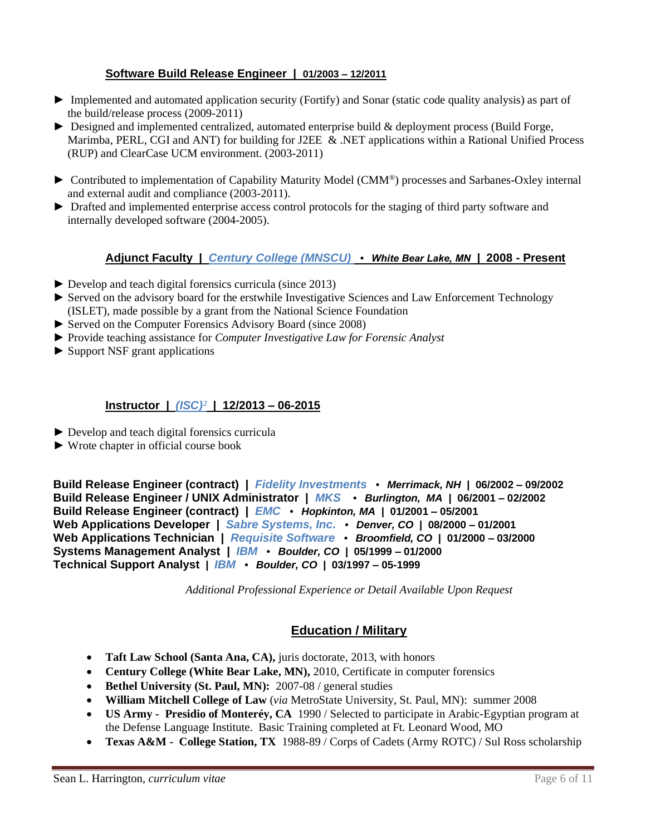## **Software Build Release Engineer | 01/2003 – 12/2011**

- ► Implemented and automated application security (Fortify) and Sonar (static code quality analysis) as part of the build/release process (2009-2011)
- ► Designed and implemented centralized, automated enterprise build & deployment process (Build Forge, Marimba, PERL, CGI and ANT) for building for J2EE & .NET applications within a Rational Unified Process (RUP) and ClearCase UCM environment. (2003-2011)
- ► Contributed to implementation of Capability Maturity Model (CMM® ) processes and Sarbanes-Oxley internal and external audit and compliance (2003-2011).
- ► Drafted and implemented enterprise access control protocols for the staging of third party software and internally developed software (2004-2005).

#### **Adjunct Faculty |** *Century College (MNSCU) • White Bear Lake, MN |* **2008 - Present**

- $\blacktriangleright$  Develop and teach digital forensics curricula (since 2013)
- ► Served on the advisory board for the erstwhile Investigative Sciences and Law Enforcement Technology (ISLET), made possible by a grant from the National Science Foundation
- ► Served on the Computer Forensics Advisory Board (since 2008)
- ► Provide teaching assistance for *Computer Investigative Law for Forensic Analyst*
- ► Support NSF grant applications

### **Instructor |** *(ISC)²* **| 12/2013 – 06-2015**

- ► Develop and teach digital forensics curricula
- ► Wrote chapter in official course book

**Build Release Engineer (contract) |** *Fidelity Investments • Merrimack, NH* **| 06/2002 – 09/2002 Build Release Engineer / UNIX Administrator |** *MKS • Burlington, MA* **| 06/2001 – 02/2002 Build Release Engineer (contract) |** *EMC • Hopkinton, MA* **| 01/2001 – 05/2001 Web Applications Developer |** *Sabre Systems, Inc. • Denver, CO* **| 08/2000 – 01/2001 Web Applications Technician |** *Requisite Software • Broomfield, CO* **| 01/2000 – 03/2000 Systems Management Analyst |** *IBM • Boulder, CO* **| 05/1999 – 01/2000 Technical Support Analyst |** *IBM • Boulder, CO* **| 03/1997 – 05-1999**

*Additional Professional Experience or Detail Available Upon Request*

# **Education / Military**

- **Taft Law School (Santa Ana, CA), juris doctorate, 2013, with honors**
- **Century College (White Bear Lake, MN),** 2010, Certificate in computer forensics
- **Bethel University (St. Paul, MN):** 2007-08 / general studies
- **William Mitchell College of Law** (*via* MetroState University, St. Paul, MN): summer 2008
- **US Army Presidio of Monteréy, CA** 1990 / Selected to participate in Arabic-Egyptian program at the Defense Language Institute. Basic Training completed at Ft. Leonard Wood, MO
- **Texas A&M - College Station, TX** 1988-89 / Corps of Cadets (Army ROTC) / Sul Ross scholarship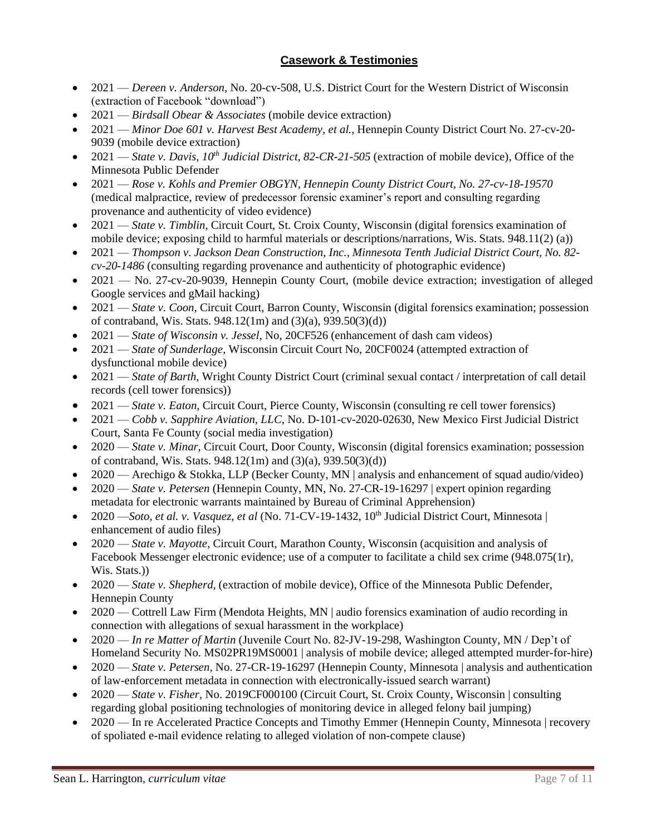# **Casework & Testimonies**

- 2021 *Dereen v. Anderson*, No. 20-cv-508, U.S. District Court for the Western District of Wisconsin (extraction of Facebook "download")
- 2021 *Birdsall Obear & Associates* (mobile device extraction)
- 2021 *Minor Doe 601 v. Harvest Best Academy, et al.,* Hennepin County District Court No. 27-cv-20- 9039 (mobile device extraction)
- 2021 *State v. Davis, 10<sup>th</sup> Judicial District, 82-CR-21-505* (extraction of mobile device), Office of the Minnesota Public Defender
- 2021 *Rose v. Kohls and Premier OBGYN, Hennepin County District Court, No. 27-cv-18-19570* (medical malpractice, review of predecessor forensic examiner's report and consulting regarding provenance and authenticity of video evidence)
- 2021 *State v. Timblin*, Circuit Court, St. Croix County, Wisconsin (digital forensics examination of mobile device; exposing child to harmful materials or descriptions/narrations, Wis. Stats. 948.11(2) (a))
- 2021 *Thompson v. Jackson Dean Construction, Inc., Minnesota Tenth Judicial District Court, No. 82 cv-20-1486* (consulting regarding provenance and authenticity of photographic evidence)
- 2021 No. 27-cv-20-9039, Hennepin County Court, (mobile device extraction; investigation of alleged Google services and gMail hacking)
- 2021 *State v. Coon*, Circuit Court, Barron County, Wisconsin (digital forensics examination; possession of contraband, Wis. Stats. 948.12(1m) and (3)(a), 939.50(3)(d))
- 2021 *State of Wisconsin v. Jessel,* No, 20CF526 (enhancement of dash cam videos)
- 2021 *State of Sunderlage,* Wisconsin Circuit Court No, 20CF0024 (attempted extraction of dysfunctional mobile device)
- 2021 *State of Barth*, Wright County District Court (criminal sexual contact / interpretation of call detail records (cell tower forensics))
- 2021 *State v. Eaton,* Circuit Court, Pierce County, Wisconsin (consulting re cell tower forensics)
- 2021 *Cobb v. Sapphire Aviation, LLC,* No. D-101-cv-2020-02630, New Mexico First Judicial District Court, Santa Fe County (social media investigation)
- 2020 *State v. Minar*, Circuit Court, Door County, Wisconsin (digital forensics examination; possession of contraband, Wis. Stats. 948.12(1m) and (3)(a), 939.50(3)(d))
- 2020 Arechigo & Stokka, LLP (Becker County, MN | analysis and enhancement of squad audio/video)
- 2020 *State v. Petersen* (Hennepin County, MN, No. 27-CR-19-16297 | expert opinion regarding metadata for electronic warrants maintained by Bureau of Criminal Apprehension)
- 2020 —*Soto, et al. v. Vasquez, et al* (No. 71-CV-19-1432, 10<sup>th</sup> Judicial District Court, Minnesota | enhancement of audio files)
- 2020 *State v. Mayotte,* Circuit Court, Marathon County, Wisconsin (acquisition and analysis of Facebook Messenger electronic evidence; use of a computer to facilitate a child sex crime (948.075(1r), Wis. Stats.))
- 2020 *State v. Shepherd,* (extraction of mobile device), Office of the Minnesota Public Defender, Hennepin County
- 2020 Cottrell Law Firm (Mendota Heights, MN | audio forensics examination of audio recording in connection with allegations of sexual harassment in the workplace)
- 2020 *In re Matter of Martin* (Juvenile Court No. 82-JV-19-298, Washington County, MN / Dep't of Homeland Security No. MS02PR19MS0001 | analysis of mobile device; alleged attempted murder-for-hire)
- 2020 *State v. Petersen,* No. 27-CR-19-16297 (Hennepin County, Minnesota | analysis and authentication of law-enforcement metadata in connection with electronically-issued search warrant)
- 2020 *State v. Fisher, No.* 2019CF000100 (Circuit Court, St. Croix County, Wisconsin | consulting regarding global positioning technologies of monitoring device in alleged felony bail jumping)
- 2020 In re Accelerated Practice Concepts and Timothy Emmer (Hennepin County, Minnesota | recovery of spoliated e-mail evidence relating to alleged violation of non-compete clause)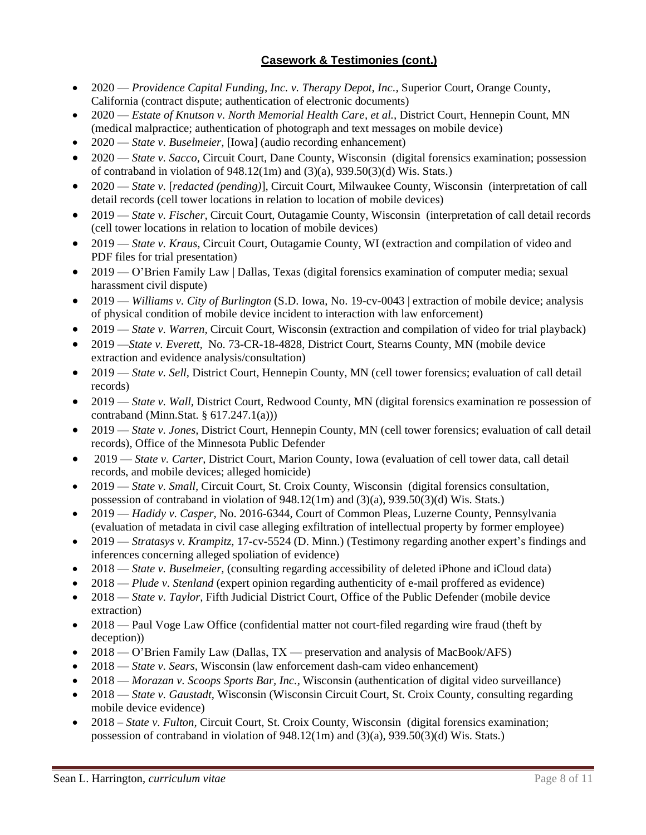- 2020 *Providence Capital Funding, Inc. v. Therapy Depot, Inc.*, Superior Court, Orange County, California (contract dispute; authentication of electronic documents)
- 2020 *Estate of Knutson v. North Memorial Health Care, et al.,* District Court, Hennepin Count, MN (medical malpractice; authentication of photograph and text messages on mobile device)
- 2020 *State v. Buselmeier,* [Iowa] (audio recording enhancement)
- 2020 *State v. Sacco*, Circuit Court, Dane County, Wisconsin (digital forensics examination; possession of contraband in violation of  $948.12(1m)$  and  $(3)(a)$ ,  $939.50(3)(d)$  Wis. Stats.)
- 2020 *State v.* [*redacted (pending)*], Circuit Court, Milwaukee County, Wisconsin (interpretation of call detail records (cell tower locations in relation to location of mobile devices)
- 2019 *State v. Fischer,* Circuit Court, Outagamie County, Wisconsin (interpretation of call detail records (cell tower locations in relation to location of mobile devices)
- 2019 *State v. Kraus,* Circuit Court, Outagamie County, WI (extraction and compilation of video and PDF files for trial presentation)
- 2019 O'Brien Family Law | Dallas, Texas (digital forensics examination of computer media; sexual harassment civil dispute)
- 2019 *Williams v. City of Burlington* (S.D. Iowa, No. 19-cv-0043 | extraction of mobile device; analysis of physical condition of mobile device incident to interaction with law enforcement)
- 2019 *State v. Warren, Circuit Court, Wisconsin (extraction and compilation of video for trial playback)*
- 2019 —*State v. Everett,* No. 73-CR-18-4828, District Court, Stearns County, MN (mobile device extraction and evidence analysis/consultation)
- 2019 *State v. Sell*, District Court, Hennepin County, MN (cell tower forensics; evaluation of call detail records)
- 2019 *State v. Wall, District Court, Redwood County, MN (digital forensics examination re possession of* contraband (Minn.Stat. § 617.247.1(a)))
- 2019 *State v. Jones*, District Court, Hennepin County, MN (cell tower forensics; evaluation of call detail records), Office of the Minnesota Public Defender
- 2019 *State v. Carter*, District Court, Marion County, Iowa (evaluation of cell tower data, call detail records, and mobile devices; alleged homicide)
- 2019 *State v. Small,* Circuit Court, St. Croix County, Wisconsin (digital forensics consultation, possession of contraband in violation of 948.12(1m) and (3)(a), 939.50(3)(d) Wis. Stats.)
- 2019 *Hadidy v. Casper*, No. 2016-6344, Court of Common Pleas, Luzerne County, Pennsylvania (evaluation of metadata in civil case alleging exfiltration of intellectual property by former employee)
- 2019 *Stratasys v. Krampitz,* 17-cv-5524 (D. Minn.) (Testimony regarding another expert's findings and inferences concerning alleged spoliation of evidence)
- 2018 *State v. Buselmeier,* (consulting regarding accessibility of deleted iPhone and iCloud data)
- 2018 *Plude v. Stenland* (expert opinion regarding authenticity of e-mail proffered as evidence)
- 2018 *State v. Taylor*, Fifth Judicial District Court, Office of the Public Defender (mobile device extraction)
- 2018 Paul Voge Law Office (confidential matter not court-filed regarding wire fraud (theft by deception))
- 2018 O'Brien Family Law (Dallas, TX preservation and analysis of MacBook/AFS)
- 2018 *State v. Sears,* Wisconsin (law enforcement dash-cam video enhancement)
- 2018 *Morazan v. Scoops Sports Bar, Inc.,* Wisconsin (authentication of digital video surveillance)
- 2018 *State v. Gaustadt*, Wisconsin (Wisconsin Circuit Court, St. Croix County, consulting regarding mobile device evidence)
- 2018 *State v. Fulton,* Circuit Court, St. Croix County, Wisconsin (digital forensics examination; possession of contraband in violation of 948.12(1m) and (3)(a), 939.50(3)(d) Wis. Stats.)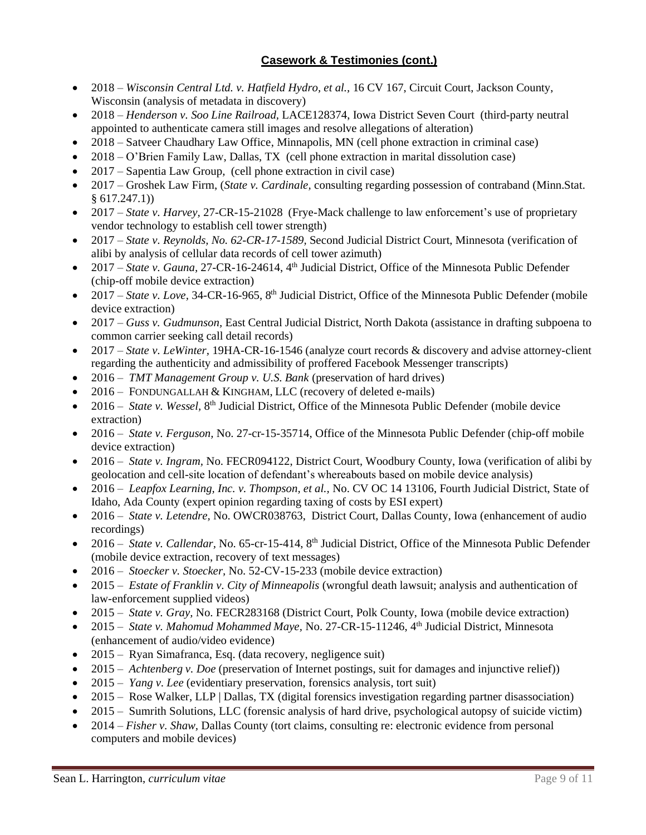- 2018 *Wisconsin Central Ltd. v. Hatfield Hydro, et al.,* 16 CV 167, Circuit Court, Jackson County, Wisconsin (analysis of metadata in discovery)
- 2018 *Henderson v. Soo Line Railroad,* LACE128374, Iowa District Seven Court (third-party neutral appointed to authenticate camera still images and resolve allegations of alteration)
- 2018 Satveer Chaudhary Law Office, Minnapolis, MN (cell phone extraction in criminal case)
- 2018 O'Brien Family Law, Dallas, TX (cell phone extraction in marital dissolution case)
- 2017 Sapentia Law Group*,* (cell phone extraction in civil case)
- 2017 Groshek Law Firm, (*State v. Cardinale,* consulting regarding possession of contraband (Minn.Stat. § 617.247.1))
- 2017 *State v. Harvey,* 27-CR-15-21028 (Frye-Mack challenge to law enforcement's use of proprietary vendor technology to establish cell tower strength)
- 2017 *State v. Reynolds, No. 62-CR-17-1589,* Second Judicial District Court, Minnesota (verification of alibi by analysis of cellular data records of cell tower azimuth)
- 2017 *State v. Gauna, 27-CR-16-24614, 4th Judicial District, Office of the Minnesota Public Defender* (chip-off mobile device extraction)
- 2017 *State v. Love, 34-CR-16-965*, 8<sup>th</sup> Judicial District, Office of the Minnesota Public Defender (mobile device extraction)
- 2017 *Guss v. Gudmunson*, East Central Judicial District, North Dakota (assistance in drafting subpoena to common carrier seeking call detail records)
- 2017 *State v. LeWinter,* 19HA-CR-16-1546 (analyze court records & discovery and advise attorney-client regarding the authenticity and admissibility of proffered Facebook Messenger transcripts)
- 2016 *TMT Management Group v. U.S. Bank* (preservation of hard drives)
- 2016 FONDUNGALLAH & KINGHAM, LLC (recovery of deleted e-mails)
- 2016 State v. Wessel, 8<sup>th</sup> Judicial District, Office of the Minnesota Public Defender (mobile device extraction)
- 2016 *State v. Ferguson,* No. 27-cr-15-35714, Office of the Minnesota Public Defender (chip-off mobile device extraction)
- 2016 *State v. Ingram*, No. FECR094122, District Court, Woodbury County, Iowa (verification of alibi by geolocation and cell-site location of defendant's whereabouts based on mobile device analysis)
- 2016 *Leapfox Learning, Inc. v. Thompson, et al.,* No. CV OC 14 13106, Fourth Judicial District, State of Idaho, Ada County (expert opinion regarding taxing of costs by ESI expert)
- 2016 *State v. Letendre,* No. OWCR038763, District Court, Dallas County, Iowa (enhancement of audio recordings)
- 2016 *State v. Callendar,* No. 65-cr-15-414, 8th Judicial District, Office of the Minnesota Public Defender (mobile device extraction, recovery of text messages)
- 2016 *Stoecker v. Stoecker,* No. 52-CV-15-233 (mobile device extraction)
- 2015 *Estate of Franklin v. City of Minneapolis* (wrongful death lawsuit; analysis and authentication of law-enforcement supplied videos)
- 2015 *State v. Gray,* No. FECR283168 (District Court, Polk County, Iowa (mobile device extraction)
- 2015 *State v. Mahomud Mohammed Maye, No.* 27-CR-15-11246, 4<sup>th</sup> Judicial District, Minnesota (enhancement of audio/video evidence)
- 2015 Ryan Simafranca, Esq. (data recovery, negligence suit)
- 2015 *Achtenberg v. Doe* (preservation of Internet postings, suit for damages and injunctive relief))
- 2015 *Yang v. Lee* (evidentiary preservation, forensics analysis, tort suit)
- 2015 Rose Walker, LLP | Dallas, TX (digital forensics investigation regarding partner disassociation)
- 2015 Sumrith Solutions, LLC (forensic analysis of hard drive, psychological autopsy of suicide victim)
- 2014 *Fisher v. Shaw,* Dallas County (tort claims, consulting re: electronic evidence from personal computers and mobile devices)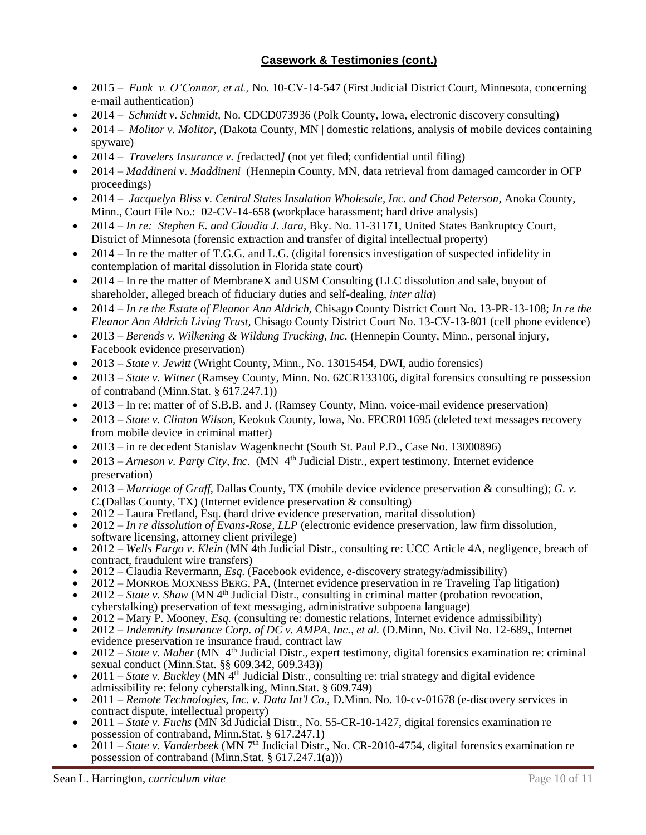- 2015 *Funk v. O'Connor, et al., No.* 10-CV-14-547 (First Judicial District Court, Minnesota, concerning e-mail authentication)
- 2014 *Schmidt v. Schmidt,* No. CDCD073936 (Polk County, Iowa, electronic discovery consulting)
- 2014 *Molitor v. Molitor,* (Dakota County, MN | domestic relations, analysis of mobile devices containing spyware)
- 2014 *Travelers Insurance v. [*redacted*]* (not yet filed; confidential until filing)
- 2014 *Maddineni v. Maddineni* (Hennepin County, MN, data retrieval from damaged camcorder in OFP proceedings)
- 2014 *Jacquelyn Bliss v. Central States Insulation Wholesale, Inc. and Chad Peterson*, Anoka County, Minn., Court File No.: 02-CV-14-658 (workplace harassment; hard drive analysis)
- 2014 *In re: Stephen E. and Claudia J. Jara,* Bky. No. 11-31171, United States Bankruptcy Court, District of Minnesota (forensic extraction and transfer of digital intellectual property)
- 2014 In re the matter of T.G.G. and L.G. (digital forensics investigation of suspected infidelity in contemplation of marital dissolution in Florida state court)
- 2014 In re the matter of MembraneX and USM Consulting (LLC dissolution and sale, buyout of shareholder, alleged breach of fiduciary duties and self-dealing, *inter alia*)
- 2014 *In re the Estate of Eleanor Ann Aldrich,* Chisago County District Court No. 13-PR-13-108; *In re the Eleanor Ann Aldrich Living Trust,* Chisago County District Court No. 13-CV-13-801 (cell phone evidence)
- 2013 *Berends v. Wilkening & Wildung Trucking, Inc.* (Hennepin County, Minn., personal injury, Facebook evidence preservation)
- 2013 *State v. Jewitt* (Wright County, Minn., No. 13015454, DWI, audio forensics)
- 2013 *State v. Witner* (Ramsey County, Minn. No. 62CR133106, digital forensics consulting re possession of contraband (Minn.Stat. § 617.247.1))
- 2013 In re: matter of of S.B.B. and J. (Ramsey County, Minn. voice-mail evidence preservation)
- 2013 *State v. Clinton Wilson, Keokuk County, Iowa, No. FECR011695* (deleted text messages recovery from mobile device in criminal matter)
- 2013 in re decedent Stanislav Wagenknecht (South St. Paul P.D., Case No. 13000896)
- 2013 *Arneson v. Party City, Inc.* (MN  $4<sup>th</sup>$  Judicial Distr., expert testimony, Internet evidence preservation)
- 2013 *Marriage of Graff,* Dallas County, TX (mobile device evidence preservation & consulting); *G. v. C.*(Dallas County, TX) (Internet evidence preservation & consulting)
- 2012 Laura Fretland, Esq. (hard drive evidence preservation, marital dissolution)
- 2012 *In re dissolution of Evans-Rose, LLP* (electronic evidence preservation, law firm dissolution, software licensing, attorney client privilege)
- 2012 *Wells Fargo v. Klein* (MN 4th Judicial Distr., consulting re: UCC Article 4A, negligence, breach of contract, fraudulent wire transfers)
- 2012 Claudia Revermann, *Esq.* (Facebook evidence, e-discovery strategy/admissibility)
- 2012 MONROE MOXNESS BERG, PA, (Internet evidence preservation in re Traveling Tap litigation)
- $2012 State$  v. *Shaw* (MN 4<sup>th</sup> Judicial Distr., consulting in criminal matter (probation revocation, cyberstalking) preservation of text messaging, administrative subpoena language)
- 2012 Mary P. Mooney, *Esq.* (consulting re: domestic relations, Internet evidence admissibility)
- 2012 *Indemnity Insurance Corp. of DC v. AMPA, Inc., et al.* (D.Minn, No. Civil No. 12-689,, Internet evidence preservation re insurance fraud, contract law
- 2012 *State v. Maher* (MN 4th Judicial Distr., expert testimony, digital forensics examination re: criminal sexual conduct (Minn.Stat. §§ 609.342, 609.343))
- 2011 *State v. Buckley* (MN  $4<sup>th</sup>$  Judicial Distr., consulting re: trial strategy and digital evidence admissibility re: felony cyberstalking, Minn.Stat. § 609.749)
- 2011 *Remote Technologies, Inc. v. Data Int'l Co.,* D.Minn. No. 10-cv-01678 (e-discovery services in contract dispute, intellectual property)
- 2011 *State v. Fuchs* (MN 3d Judicial Distr., No. 55-CR-10-1427, digital forensics examination re possession of contraband, Minn.Stat. § 617.247.1)
- $2011 State$  v. Vanderbeek (MN 7<sup>th</sup> Judicial Distr., No. CR-2010-4754, digital forensics examination re possession of contraband (Minn.Stat. § 617.247.1(a)))